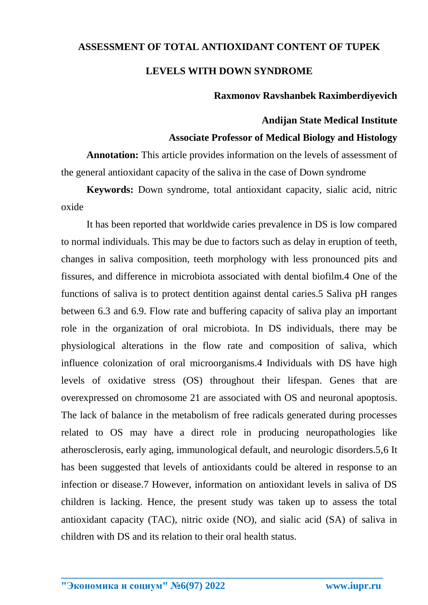# **ASSESSMENT OF TOTAL ANTIOXIDANT CONTENT OF TUPEK LEVELS WITH DOWN SYNDROME**

## **Raxmonov Ravshanbek Raximberdiyevich**

## **Andijan State Medical Institute**

#### **Associate Professor of Medical Biology and Histology**

**Annotation:** This article provides information on the levels of assessment of the general antioxidant capacity of the saliva in the case of Down syndrome

**Keywords:** Down syndrome, total antioxidant capacity, sialic acid, nitric oxide

It has been reported that worldwide caries prevalence in DS is low compared to normal individuals. This may be due to factors such as delay in eruption of teeth, changes in saliva composition, teeth morphology with less pronounced pits and fissures, and difference in microbiota associated with dental biofilm.4 One of the functions of saliva is to protect dentition against dental caries.5 Saliva pH ranges between 6.3 and 6.9. Flow rate and buffering capacity of saliva play an important role in the organization of oral microbiota. In DS individuals, there may be physiological alterations in the flow rate and composition of saliva, which influence colonization of oral microorganisms.4 Individuals with DS have high levels of oxidative stress (OS) throughout their lifespan. Genes that are overexpressed on chromosome 21 are associated with OS and neuronal apoptosis. The lack of balance in the metabolism of free radicals generated during processes related to OS may have a direct role in producing neuropathologies like atherosclerosis, early aging, immunological default, and neurologic disorders.5,6 It has been suggested that levels of antioxidants could be altered in response to an infection or disease.7 However, information on antioxidant levels in saliva of DS children is lacking. Hence, the present study was taken up to assess the total antioxidant capacity (TAC), nitric oxide (NO), and sialic acid (SA) of saliva in children with DS and its relation to their oral health status.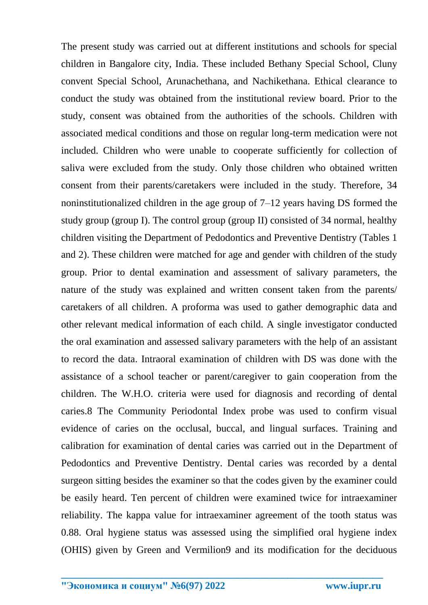The present study was carried out at different institutions and schools for special children in Bangalore city, India. These included Bethany Special School, Cluny convent Special School, Arunachethana, and Nachikethana. Ethical clearance to conduct the study was obtained from the institutional review board. Prior to the study, consent was obtained from the authorities of the schools. Children with associated medical conditions and those on regular long-term medication were not included. Children who were unable to cooperate sufficiently for collection of saliva were excluded from the study. Only those children who obtained written consent from their parents/caretakers were included in the study. Therefore, 34 noninstitutionalized children in the age group of 7–12 years having DS formed the study group (group I). The control group (group II) consisted of 34 normal, healthy children visiting the Department of Pedodontics and Preventive Dentistry (Tables 1 and 2). These children were matched for age and gender with children of the study group. Prior to dental examination and assessment of salivary parameters, the nature of the study was explained and written consent taken from the parents/ caretakers of all children. A proforma was used to gather demographic data and other relevant medical information of each child. A single investigator conducted the oral examination and assessed salivary parameters with the help of an assistant to record the data. Intraoral examination of children with DS was done with the assistance of a school teacher or parent/caregiver to gain cooperation from the children. The W.H.O. criteria were used for diagnosis and recording of dental caries.8 The Community Periodontal Index probe was used to confirm visual evidence of caries on the occlusal, buccal, and lingual surfaces. Training and calibration for examination of dental caries was carried out in the Department of Pedodontics and Preventive Dentistry. Dental caries was recorded by a dental surgeon sitting besides the examiner so that the codes given by the examiner could be easily heard. Ten percent of children were examined twice for intraexaminer reliability. The kappa value for intraexaminer agreement of the tooth status was 0.88. Oral hygiene status was assessed using the simplified oral hygiene index (OHIS) given by Green and Vermilion9 and its modification for the deciduous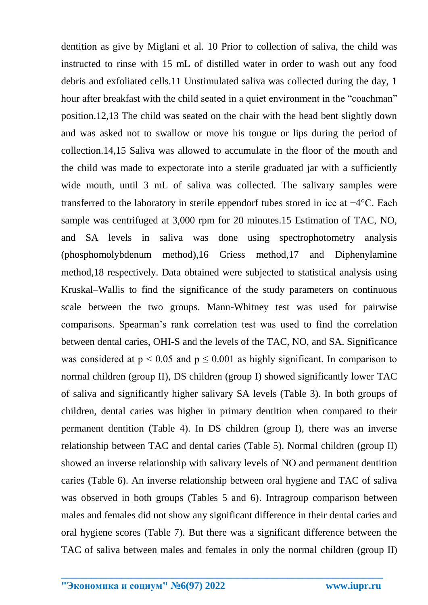dentition as give by Miglani et al. 10 Prior to collection of saliva, the child was instructed to rinse with 15 mL of distilled water in order to wash out any food debris and exfoliated cells.11 Unstimulated saliva was collected during the day, 1 hour after breakfast with the child seated in a quiet environment in the "coachman" position.12,13 The child was seated on the chair with the head bent slightly down and was asked not to swallow or move his tongue or lips during the period of collection.14,15 Saliva was allowed to accumulate in the floor of the mouth and the child was made to expectorate into a sterile graduated jar with a sufficiently wide mouth, until 3 mL of saliva was collected. The salivary samples were transferred to the laboratory in sterile eppendorf tubes stored in ice at −4°C. Each sample was centrifuged at 3,000 rpm for 20 minutes.15 Estimation of TAC, NO, and SA levels in saliva was done using spectrophotometry analysis (phosphomolybdenum method),16 Griess method,17 and Diphenylamine method,18 respectively. Data obtained were subjected to statistical analysis using Kruskal–Wallis to find the significance of the study parameters on continuous scale between the two groups. Mann-Whitney test was used for pairwise comparisons. Spearman's rank correlation test was used to find the correlation between dental caries, OHI-S and the levels of the TAC, NO, and SA. Significance was considered at  $p \le 0.05$  and  $p \le 0.001$  as highly significant. In comparison to normal children (group II), DS children (group I) showed significantly lower TAC of saliva and significantly higher salivary SA levels (Table 3). In both groups of children, dental caries was higher in primary dentition when compared to their permanent dentition (Table 4). In DS children (group I), there was an inverse relationship between TAC and dental caries (Table 5). Normal children (group II) showed an inverse relationship with salivary levels of NO and permanent dentition caries (Table 6). An inverse relationship between oral hygiene and TAC of saliva was observed in both groups (Tables 5 and 6). Intragroup comparison between males and females did not show any significant difference in their dental caries and oral hygiene scores (Table 7). But there was a significant difference between the TAC of saliva between males and females in only the normal children (group II)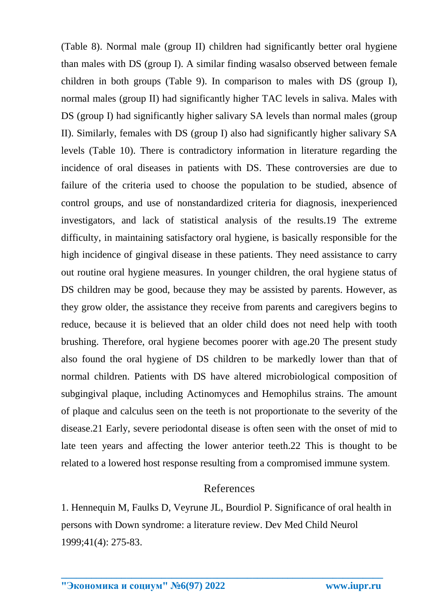(Table 8). Normal male (group II) children had significantly better oral hygiene than males with DS (group I). A similar finding wasalso observed between female children in both groups (Table 9). In comparison to males with DS (group I), normal males (group II) had significantly higher TAC levels in saliva. Males with DS (group I) had significantly higher salivary SA levels than normal males (group II). Similarly, females with DS (group I) also had significantly higher salivary SA levels (Table 10). There is contradictory information in literature regarding the incidence of oral diseases in patients with DS. These controversies are due to failure of the criteria used to choose the population to be studied, absence of control groups, and use of nonstandardized criteria for diagnosis, inexperienced investigators, and lack of statistical analysis of the results.19 The extreme difficulty, in maintaining satisfactory oral hygiene, is basically responsible for the high incidence of gingival disease in these patients. They need assistance to carry out routine oral hygiene measures. In younger children, the oral hygiene status of DS children may be good, because they may be assisted by parents. However, as they grow older, the assistance they receive from parents and caregivers begins to reduce, because it is believed that an older child does not need help with tooth brushing. Therefore, oral hygiene becomes poorer with age.20 The present study also found the oral hygiene of DS children to be markedly lower than that of normal children. Patients with DS have altered microbiological composition of subgingival plaque, including Actinomyces and Hemophilus strains. The amount of plaque and calculus seen on the teeth is not proportionate to the severity of the disease.21 Early, severe periodontal disease is often seen with the onset of mid to late teen years and affecting the lower anterior teeth.22 This is thought to be related to a lowered host response resulting from a compromised immune system.

#### References

1. Hennequin M, Faulks D, Veyrune JL, Bourdiol P. Significance of oral health in persons with Down syndrome: a literature review. Dev Med Child Neurol 1999;41(4): 275-83.